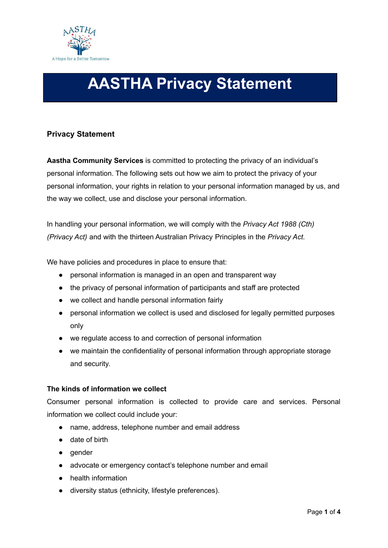

# **AASTHA Privacy Statement**

# **Privacy Statement**

**Aastha Community Services** is committed to protecting the privacy of an individual's personal information. The following sets out how we aim to protect the privacy of your personal information, your rights in relation to your personal information managed by us, and the way we collect, use and disclose your personal information.

In handling your personal information, we will comply with the *Privacy Act 1988 (Cth) (Privacy Act)* and with the thirteen Australian Privacy Principles in the *Privacy Act.*

We have policies and procedures in place to ensure that:

- personal information is managed in an open and transparent way
- the privacy of personal information of participants and staff are protected
- we collect and handle personal information fairly
- personal information we collect is used and disclosed for legally permitted purposes only
- we regulate access to and correction of personal information
- we maintain the confidentiality of personal information through appropriate storage and security.

## **The kinds of information we collect**

Consumer personal information is collected to provide care and services. Personal information we collect could include your:

- name, address, telephone number and email address
- date of birth
- gender
- advocate or emergency contact's telephone number and email
- health information
- diversity status (ethnicity, lifestyle preferences).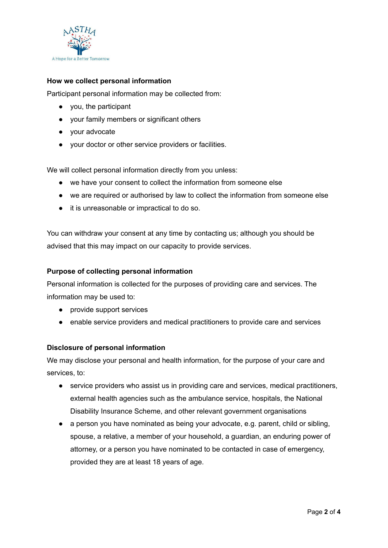

# **How we collect personal information**

Participant personal information may be collected from:

- you, the participant
- your family members or significant others
- your advocate
- your doctor or other service providers or facilities.

We will collect personal information directly from you unless:

- we have your consent to collect the information from someone else
- we are required or authorised by law to collect the information from someone else
- it is unreasonable or impractical to do so.

You can withdraw your consent at any time by contacting us; although you should be advised that this may impact on our capacity to provide services.

## **Purpose of collecting personal information**

Personal information is collected for the purposes of providing care and services. The information may be used to:

- provide support services
- enable service providers and medical practitioners to provide care and services

## **Disclosure of personal information**

We may disclose your personal and health information, for the purpose of your care and services, to:

- service providers who assist us in providing care and services, medical practitioners, external health agencies such as the ambulance service, hospitals, the National Disability Insurance Scheme, and other relevant government organisations
- a person you have nominated as being your advocate, e.g. parent, child or sibling, spouse, a relative, a member of your household, a guardian, an enduring power of attorney, or a person you have nominated to be contacted in case of emergency, provided they are at least 18 years of age.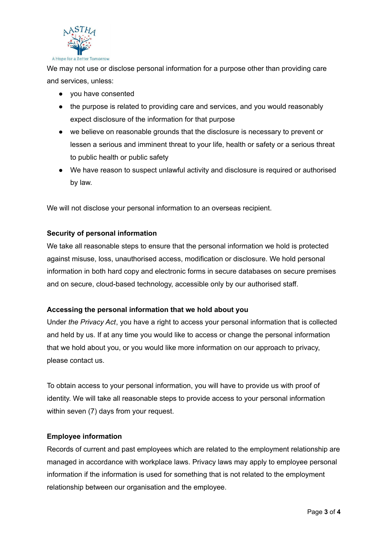

We may not use or disclose personal information for a purpose other than providing care and services, unless:

- you have consented
- the purpose is related to providing care and services, and you would reasonably expect disclosure of the information for that purpose
- we believe on reasonable grounds that the disclosure is necessary to prevent or lessen a serious and imminent threat to your life, health or safety or a serious threat to public health or public safety
- We have reason to suspect unlawful activity and disclosure is required or authorised by law.

We will not disclose your personal information to an overseas recipient.

# **Security of personal information**

We take all reasonable steps to ensure that the personal information we hold is protected against misuse, loss, unauthorised access, modification or disclosure. We hold personal information in both hard copy and electronic forms in secure databases on secure premises and on secure, cloud-based technology, accessible only by our authorised staff.

## **Accessing the personal information that we hold about you**

Under *the Privacy Act*, you have a right to access your personal information that is collected and held by us. If at any time you would like to access or change the personal information that we hold about you, or you would like more information on our approach to privacy, please contact us.

To obtain access to your personal information, you will have to provide us with proof of identity. We will take all reasonable steps to provide access to your personal information within seven (7) days from your request.

## **Employee information**

Records of current and past employees which are related to the employment relationship are managed in accordance with workplace laws. Privacy laws may apply to employee personal information if the information is used for something that is not related to the employment relationship between our organisation and the employee.